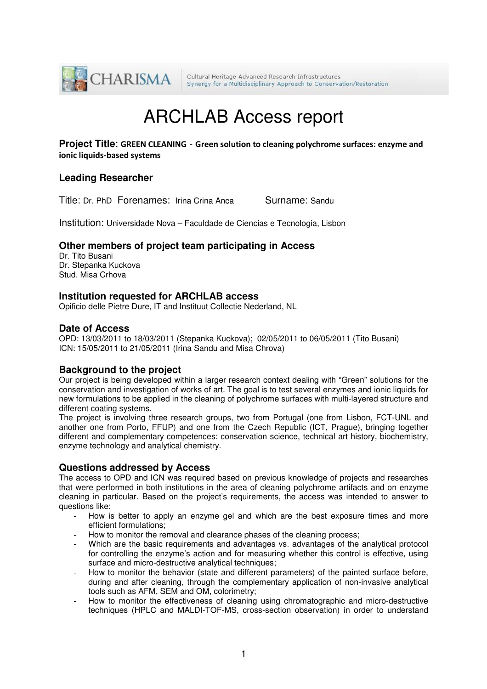

# ARCHLAB Access report

**Project Title**: GREEN CLEANING - Green solution to cleaning polychrome surfaces: enzyme and ionic liquids-based systems

### **Leading Researcher**

Title: Dr. PhD Forenames: Irina Crina Anca Surname: Sandu

Institution: Universidade Nova – Faculdade de Ciencias e Tecnologia, Lisbon

## **Other members of project team participating in Access**

Dr. Tito Busani Dr. Stepanka Kuckova Stud. Misa Crhova

#### **Institution requested for ARCHLAB access**

Opificio delle Pietre Dure, IT and Instituut Collectie Nederland, NL

#### **Date of Access**

OPD: 13/03/2011 to 18/03/2011 (Stepanka Kuckova); 02/05/2011 to 06/05/2011 (Tito Busani) ICN: 15/05/2011 to 21/05/2011 (Irina Sandu and Misa Chrova)

#### **Background to the project**

Our project is being developed within a larger research context dealing with "Green" solutions for the conservation and investigation of works of art. The goal is to test several enzymes and ionic liquids for new formulations to be applied in the cleaning of polychrome surfaces with multi-layered structure and different coating systems.

The project is involving three research groups, two from Portugal (one from Lisbon, FCT-UNL and another one from Porto, FFUP) and one from the Czech Republic (ICT, Prague), bringing together different and complementary competences: conservation science, technical art history, biochemistry, enzyme technology and analytical chemistry.

#### **Questions addressed by Access**

The access to OPD and ICN was required based on previous knowledge of projects and researches that were performed in both institutions in the area of cleaning polychrome artifacts and on enzyme cleaning in particular. Based on the project's requirements, the access was intended to answer to questions like:

- How is better to apply an enzyme gel and which are the best exposure times and more efficient formulations;
- How to monitor the removal and clearance phases of the cleaning process;
- Which are the basic requirements and advantages vs. advantages of the analytical protocol for controlling the enzyme's action and for measuring whether this control is effective, using surface and micro-destructive analytical techniques;
- How to monitor the behavior (state and different parameters) of the painted surface before, during and after cleaning, through the complementary application of non-invasive analytical tools such as AFM, SEM and OM, colorimetry;
- How to monitor the effectiveness of cleaning using chromatographic and micro-destructive techniques (HPLC and MALDI-TOF-MS, cross-section observation) in order to understand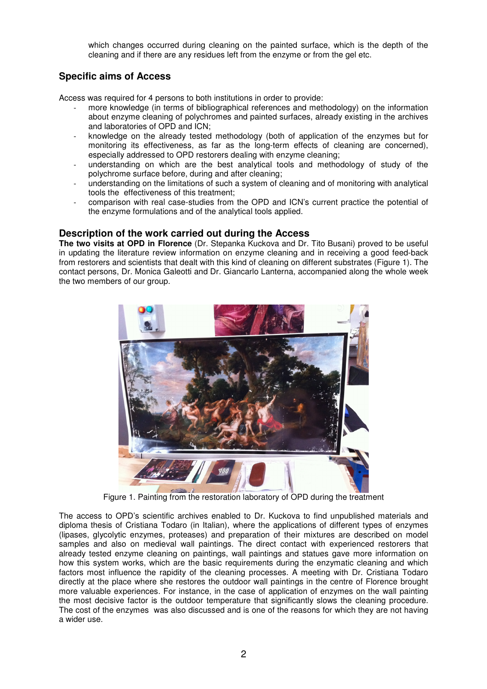which changes occurred during cleaning on the painted surface, which is the depth of the cleaning and if there are any residues left from the enzyme or from the gel etc.

## **Specific aims of Access**

Access was required for 4 persons to both institutions in order to provide:

- more knowledge (in terms of bibliographical references and methodology) on the information about enzyme cleaning of polychromes and painted surfaces, already existing in the archives and laboratories of OPD and ICN;
- knowledge on the already tested methodology (both of application of the enzymes but for monitoring its effectiveness, as far as the long-term effects of cleaning are concerned), especially addressed to OPD restorers dealing with enzyme cleaning;
- understanding on which are the best analytical tools and methodology of study of the polychrome surface before, during and after cleaning;
- understanding on the limitations of such a system of cleaning and of monitoring with analytical tools the effectiveness of this treatment;
- comparison with real case-studies from the OPD and ICN's current practice the potential of the enzyme formulations and of the analytical tools applied.

#### **Description of the work carried out during the Access**

**The two visits at OPD in Florence** (Dr. Stepanka Kuckova and Dr. Tito Busani) proved to be useful in updating the literature review information on enzyme cleaning and in receiving a good feed-back from restorers and scientists that dealt with this kind of cleaning on different substrates (Figure 1). The contact persons, Dr. Monica Galeotti and Dr. Giancarlo Lanterna, accompanied along the whole week the two members of our group.



Figure 1. Painting from the restoration laboratory of OPD during the treatment

The access to OPD's scientific archives enabled to Dr. Kuckova to find unpublished materials and diploma thesis of Cristiana Todaro (in Italian), where the applications of different types of enzymes (lipases, glycolytic enzymes, proteases) and preparation of their mixtures are described on model samples and also on medieval wall paintings. The direct contact with experienced restorers that already tested enzyme cleaning on paintings, wall paintings and statues gave more information on how this system works, which are the basic requirements during the enzymatic cleaning and which factors most influence the rapidity of the cleaning processes. A meeting with Dr. Cristiana Todaro directly at the place where she restores the outdoor wall paintings in the centre of Florence brought more valuable experiences. For instance, in the case of application of enzymes on the wall painting the most decisive factor is the outdoor temperature that significantly slows the cleaning procedure. The cost of the enzymes was also discussed and is one of the reasons for which they are not having a wider use.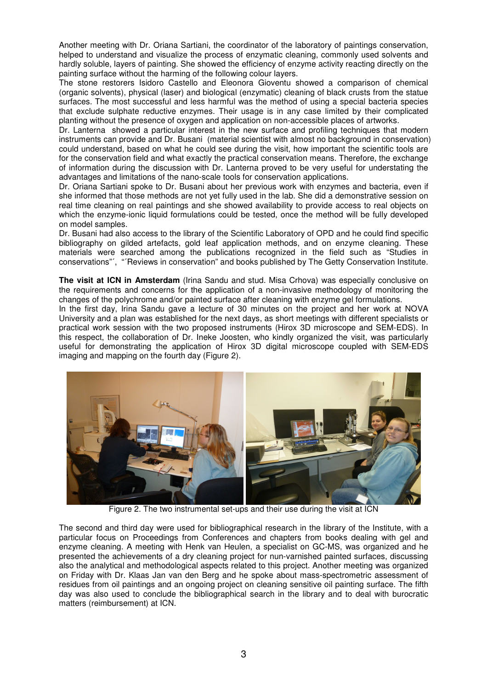Another meeting with Dr. Oriana Sartiani, the coordinator of the laboratory of paintings conservation, helped to understand and visualize the process of enzymatic cleaning, commonly used solvents and hardly soluble, layers of painting. She showed the efficiency of enzyme activity reacting directly on the painting surface without the harming of the following colour layers.

The stone restorers Isidoro Castello and Eleonora Gioventu showed a comparison of chemical (organic solvents), physical (laser) and biological (enzymatic) cleaning of black crusts from the statue surfaces. The most successful and less harmful was the method of using a special bacteria species that exclude sulphate reductive enzymes. Their usage is in any case limited by their complicated planting without the presence of oxygen and application on non-accessible places of artworks.

Dr. Lanterna showed a particular interest in the new surface and profiling techniques that modern instruments can provide and Dr. Busani (material scientist with almost no background in conservation) could understand, based on what he could see during the visit, how important the scientific tools are for the conservation field and what exactly the practical conservation means. Therefore, the exchange of information during the discussion with Dr. Lanterna proved to be very useful for understating the advantages and limitations of the nano-scale tools for conservation applications.

Dr. Oriana Sartiani spoke to Dr. Busani about her previous work with enzymes and bacteria, even if she informed that those methods are not yet fully used in the lab. She did a demonstrative session on real time cleaning on real paintings and she showed availability to provide access to real objects on which the enzyme-ionic liquid formulations could be tested, once the method will be fully developed on model samples.

Dr. Busani had also access to the library of the Scientific Laboratory of OPD and he could find specific bibliography on gilded artefacts, gold leaf application methods, and on enzyme cleaning. These materials were searched among the publications recognized in the field such as "Studies in conservations"´, "´Reviews in conservation" and books published by The Getty Conservation Institute.

**The visit at ICN in Amsterdam** (Irina Sandu and stud. Misa Crhova) was especially conclusive on the requirements and concerns for the application of a non-invasive methodology of monitoring the changes of the polychrome and/or painted surface after cleaning with enzyme gel formulations.

In the first day, Irina Sandu gave a lecture of 30 minutes on the project and her work at NOVA University and a plan was established for the next days, as short meetings with different specialists or practical work session with the two proposed instruments (Hirox 3D microscope and SEM-EDS). In this respect, the collaboration of Dr. Ineke Joosten, who kindly organized the visit, was particularly useful for demonstrating the application of Hirox 3D digital microscope coupled with SEM-EDS imaging and mapping on the fourth day (Figure 2).



Figure 2. The two instrumental set-ups and their use during the visit at ICN

The second and third day were used for bibliographical research in the library of the Institute, with a particular focus on Proceedings from Conferences and chapters from books dealing with gel and enzyme cleaning. A meeting with Henk van Heulen, a specialist on GC-MS, was organized and he presented the achievements of a dry cleaning project for nun-varnished painted surfaces, discussing also the analytical and methodological aspects related to this project. Another meeting was organized on Friday with Dr. Klaas Jan van den Berg and he spoke about mass-spectrometric assessment of residues from oil paintings and an ongoing project on cleaning sensitive oil painting surface. The fifth day was also used to conclude the bibliographical search in the library and to deal with burocratic matters (reimbursement) at ICN.